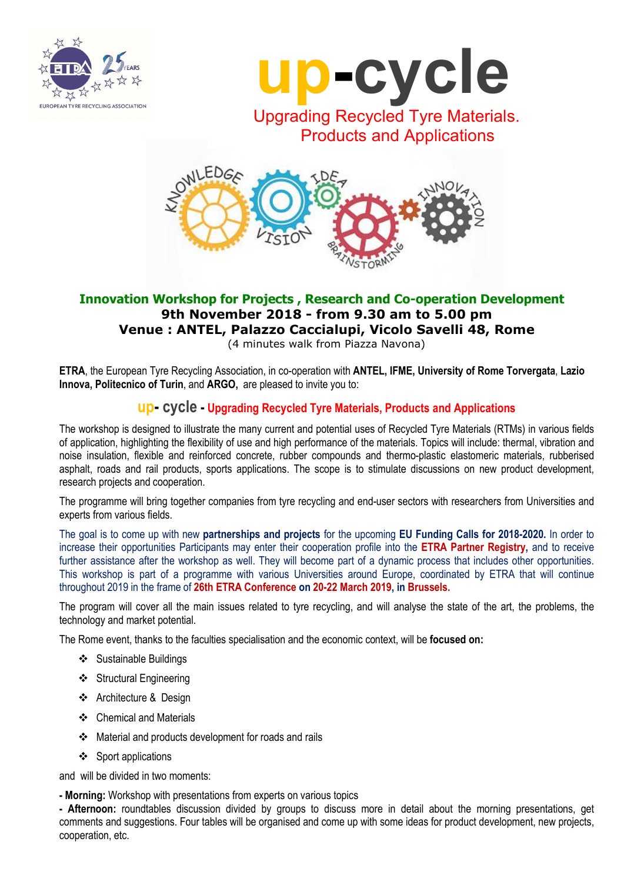



Products and Applications



### Innovation Workshop for Projects , Research and Co-operation Development 9th November 2018 - from 9.30 am to 5.00 pm Venue : ANTEL, Palazzo Caccialupi, Vicolo Savelli 48, Rome (4 minutes walk from Piazza Navona)

ETRA, the European Tyre Recycling Association, in co-operation with ANTEL, IFME, University of Rome Torvergata, Lazio Innova, Politecnico of Turin, and ARGO, are pleased to invite you to:

## up- cycle - Upgrading Recycled Tyre Materials, Products and Applications

The workshop is designed to illustrate the many current and potential uses of Recycled Tyre Materials (RTMs) in various fields of application, highlighting the flexibility of use and high performance of the materials. Topics will include: thermal, vibration and noise insulation, flexible and reinforced concrete, rubber compounds and thermo-plastic elastomeric materials, rubberised asphalt, roads and rail products, sports applications. The scope is to stimulate discussions on new product development, research projects and cooperation.

The programme will bring together companies from tyre recycling and end-user sectors with researchers from Universities and experts from various fields.

The goal is to come up with new partnerships and projects for the upcoming EU Funding Calls for 2018-2020. In order to increase their opportunities Participants may enter their cooperation profile into the ETRA Partner Registry, and to receive further assistance after the workshop as well. They will become part of a dynamic process that includes other opportunities. This workshop is part of a programme with various Universities around Europe, coordinated by ETRA that will continue throughout 2019 in the frame of 26th ETRA Conference on 20-22 March 2019, in Brussels.

The program will cover all the main issues related to tyre recycling, and will analyse the state of the art, the problems, the technology and market potential.

The Rome event, thanks to the faculties specialisation and the economic context, will be focused on:

- ❖ Sustainable Buildings
- ❖ Structural Engineering
- Architecture & Design
- Chemical and Materials
- Material and products development for roads and rails
- ❖ Sport applications

and will be divided in two moments:

- Morning: Workshop with presentations from experts on various topics

- Afternoon: roundtables discussion divided by groups to discuss more in detail about the morning presentations, get comments and suggestions. Four tables will be organised and come up with some ideas for product development, new projects, cooperation, etc.